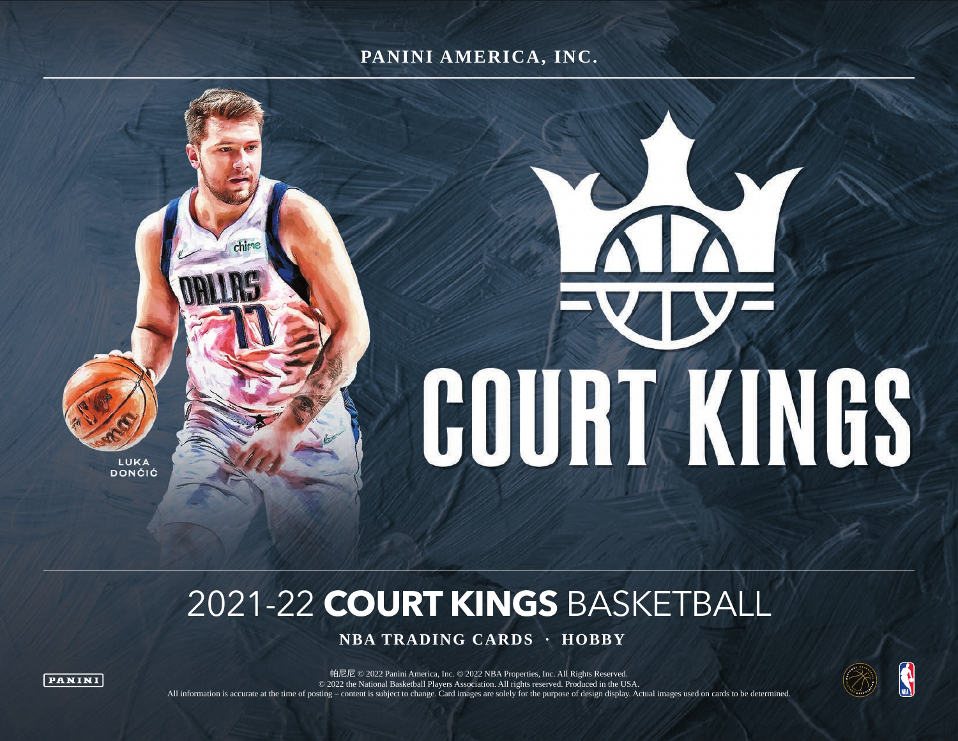#### **PANINI AMERICA, INC.**



# 2021-22 **COURT KINGS** BASKETBALL

 **NBA TRADING CARDS · HOBBY**



**PANINI** 

帕尼尼 © 2022 Panini America, Inc. © 2022 NBA Properties, Inc. All Rights Reserved. © 2022 the National Basketball Players Association. All rights reserved. Produced in the USA. All information is accurate at the time of posting – content is subject to change. Card images are solely for the purpose of design display. Actual images used on cards to be determined.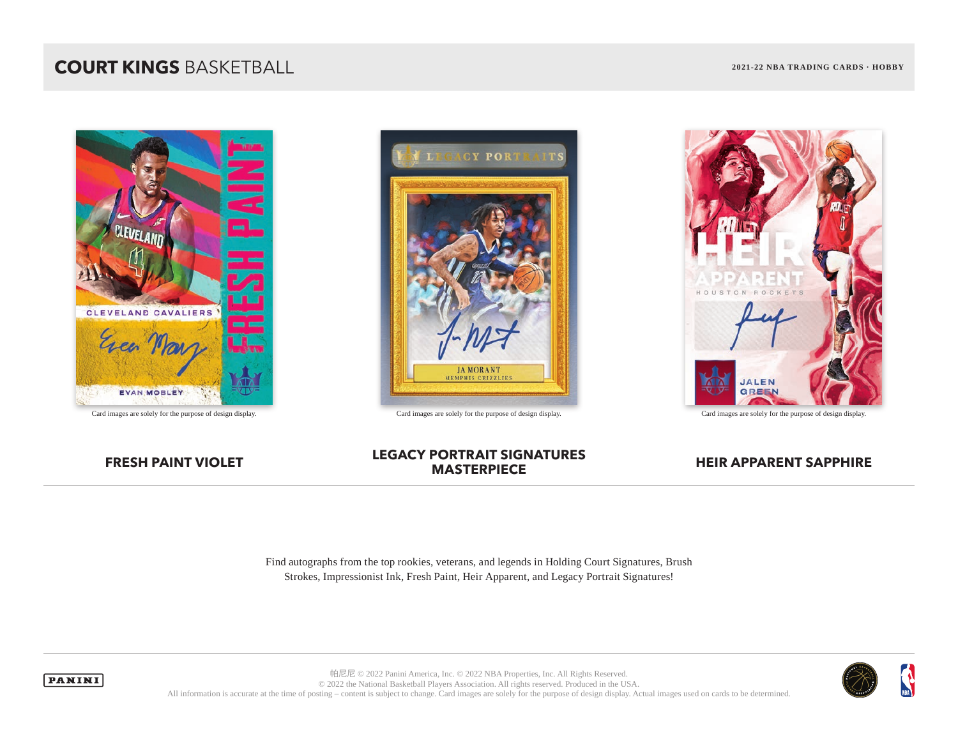



Card images are solely for the purpose of design display. Card images are solely for the purpose of design display. Card images are solely for the purpose of design display.



## **FRESH PAINT VIOLET LEGACY PORTRAIT SIGNATURES**

#### **HEIR APPARENT SAPPHIRE**

Find autographs from the top rookies, veterans, and legends in Holding Court Signatures, Brush Strokes, Impressionist Ink, Fresh Paint, Heir Apparent, and Legacy Portrait Signatures!



**PANINI** 

帕尼尼 © 2022 Panini America, Inc. © 2022 NBA Properties, Inc. All Rights Reserved. © 2022 the National Basketball Players Association. All rights reserved. Produced in the USA. All information is accurate at the time of posting – content is subject to change. Card images are solely for the purpose of design display. Actual images used on cards to be determined.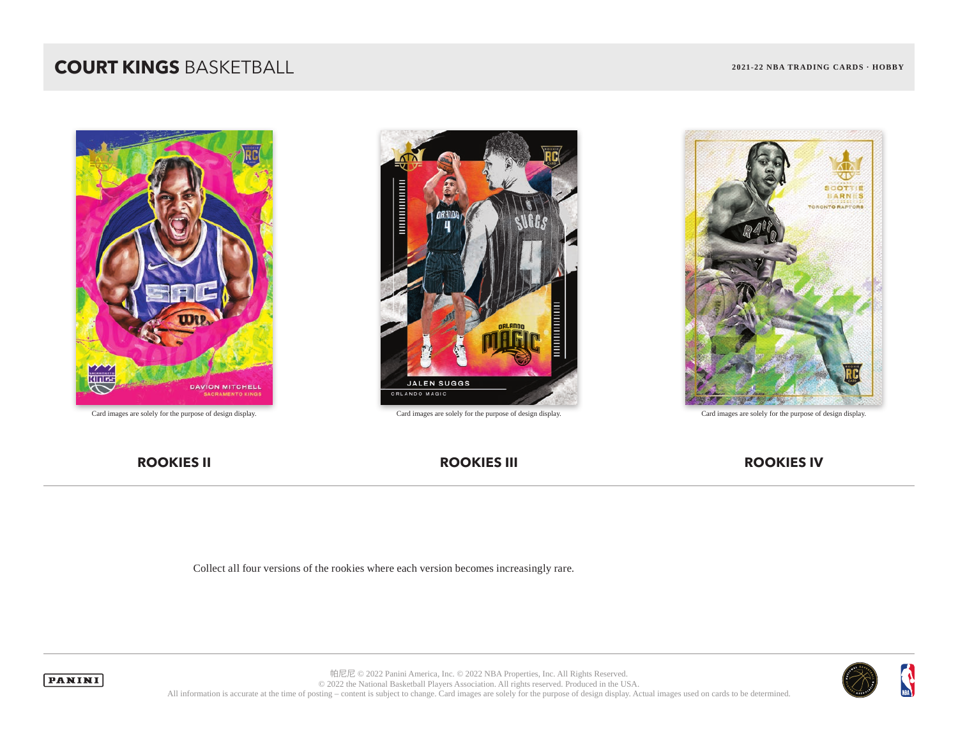

Card images are solely for the purpose of design display. Card images are solely for the purpose of design display. Card images are solely for the purpose of design display.





#### **ROOKIES II ROOKIES III ROOKIES IV**

Collect all four versions of the rookies where each version becomes increasingly rare.





帕尼尼 © 2022 Panini America, Inc. © 2022 NBA Properties, Inc. All Rights Reserved. © 2022 the National Basketball Players Association. All rights reserved. Produced in the USA. All information is accurate at the time of posting – content is subject to change. Card images are solely for the purpose of design display. Actual images used on cards to be determined.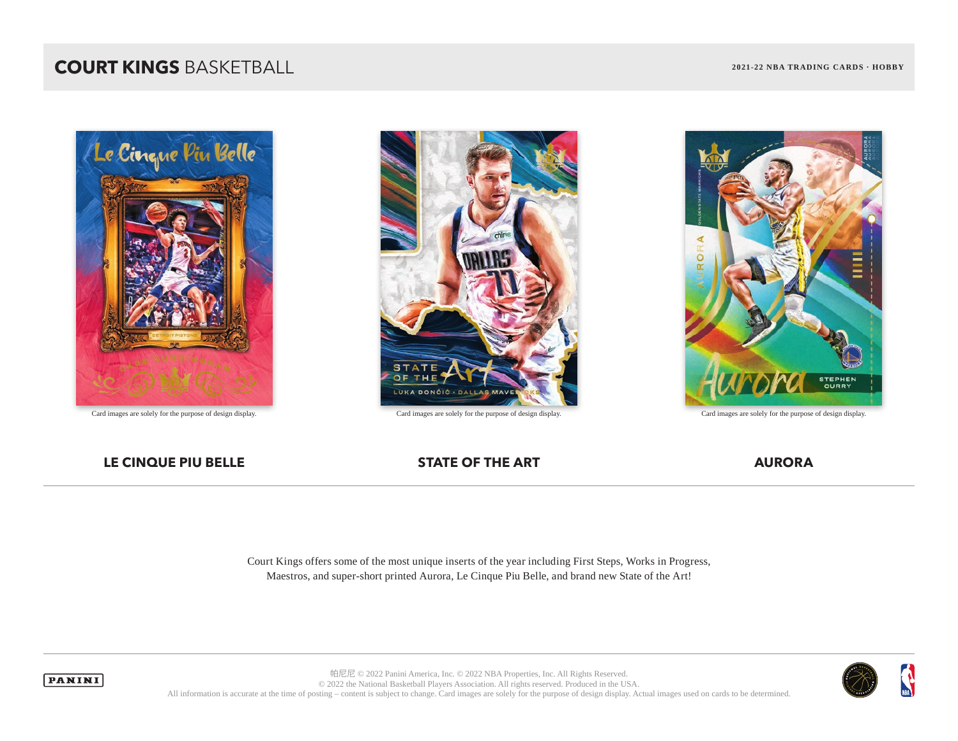

Card images are solely for the purpose of design display. Card images are solely for the purpose of design display. Card images are solely for the purpose of design display.





#### **LE CINQUE PIU BELLE STATE OF THE ART AURORA**

Court Kings offers some of the most unique inserts of the year including First Steps, Works in Progress, Maestros, and super-short printed Aurora, Le Cinque Piu Belle, and brand new State of the Art!



 $\mathbf{A}$ 



帕尼尼 © 2022 Panini America, Inc. © 2022 NBA Properties, Inc. All Rights Reserved. © 2022 the National Basketball Players Association. All rights reserved. Produced in the USA. All information is accurate at the time of posting – content is subject to change. Card images are solely for the purpose of design display. Actual images used on cards to be determined.